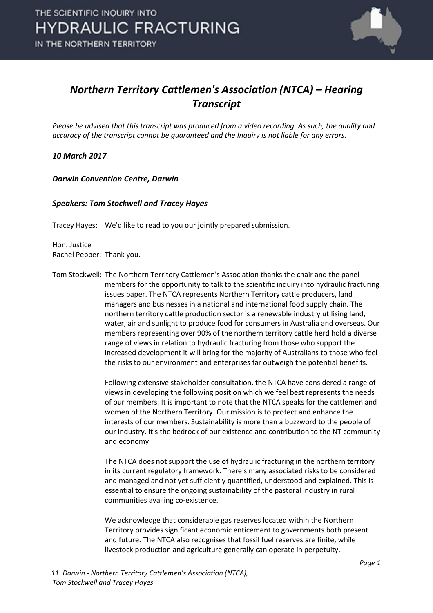

## *Northern Territory Cattlemen's Association (NTCA) – Hearing Transcript*

*Please be advised that this transcript was produced from a video recording. As such, the quality and accuracy of the transcript cannot be guaranteed and the Inquiry is not liable for any errors.*

*10 March 2017* 

*Darwin Convention Centre, Darwin* 

### *Speakers: Tom Stockwell and Tracey Hayes*

Tracey Hayes: We'd like to read to you our jointly prepared submission.

Hon. Justice Rachel Pepper: Thank you.

Tom Stockwell: The Northern Territory Cattlemen's Association thanks the chair and the panel members for the opportunity to talk to the scientific inquiry into hydraulic fracturing issues paper. The NTCA represents Northern Territory cattle producers, land managers and businesses in a national and international food supply chain. The northern territory cattle production sector is a renewable industry utilising land, water, air and sunlight to produce food for consumers in Australia and overseas. Our members representing over 90% of the northern territory cattle herd hold a diverse range of views in relation to hydraulic fracturing from those who support the increased development it will bring for the majority of Australians to those who feel the risks to our environment and enterprises far outweigh the potential benefits.

> Following extensive stakeholder consultation, the NTCA have considered a range of views in developing the following position which we feel best represents the needs of our members. It is important to note that the NTCA speaks for the cattlemen and women of the Northern Territory. Our mission is to protect and enhance the interests of our members. Sustainability is more than a buzzword to the people of our industry. It's the bedrock of our existence and contribution to the NT community and economy.

The NTCA does not support the use of hydraulic fracturing in the northern territory in its current regulatory framework. There's many associated risks to be considered and managed and not yet sufficiently quantified, understood and explained. This is essential to ensure the ongoing sustainability of the pastoral industry in rural communities availing co-existence.

We acknowledge that considerable gas reserves located within the Northern Territory provides significant economic enticement to governments both present and future. The NTCA also recognises that fossil fuel reserves are finite, while livestock production and agriculture generally can operate in perpetuity.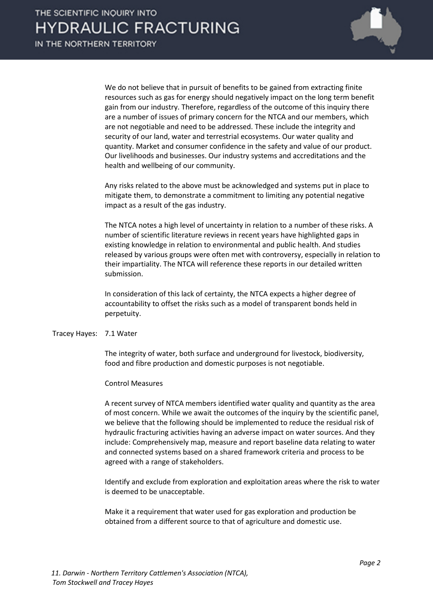

We do not believe that in pursuit of benefits to be gained from extracting finite resources such as gas for energy should negatively impact on the long term benefit gain from our industry. Therefore, regardless of the outcome of this inquiry there are a number of issues of primary concern for the NTCA and our members, which are not negotiable and need to be addressed. These include the integrity and security of our land, water and terrestrial ecosystems. Our water quality and quantity. Market and consumer confidence in the safety and value of our product. Our livelihoods and businesses. Our industry systems and accreditations and the health and wellbeing of our community.

Any risks related to the above must be acknowledged and systems put in place to mitigate them, to demonstrate a commitment to limiting any potential negative impact as a result of the gas industry.

The NTCA notes a high level of uncertainty in relation to a number of these risks. A number of scientific literature reviews in recent years have highlighted gaps in existing knowledge in relation to environmental and public health. And studies released by various groups were often met with controversy, especially in relation to their impartiality. The NTCA will reference these reports in our detailed written submission.

In consideration of this lack of certainty, the NTCA expects a higher degree of accountability to offset the risks such as a model of transparent bonds held in perpetuity.

#### Tracey Hayes: 7.1 Water

The integrity of water, both surface and underground for livestock, biodiversity, food and fibre production and domestic purposes is not negotiable.

#### Control Measures

A recent survey of NTCA members identified water quality and quantity as the area of most concern. While we await the outcomes of the inquiry by the scientific panel, we believe that the following should be implemented to reduce the residual risk of hydraulic fracturing activities having an adverse impact on water sources. And they include: Comprehensively map, measure and report baseline data relating to water and connected systems based on a shared framework criteria and process to be agreed with a range of stakeholders.

Identify and exclude from exploration and exploitation areas where the risk to water is deemed to be unacceptable.

Make it a requirement that water used for gas exploration and production be obtained from a different source to that of agriculture and domestic use.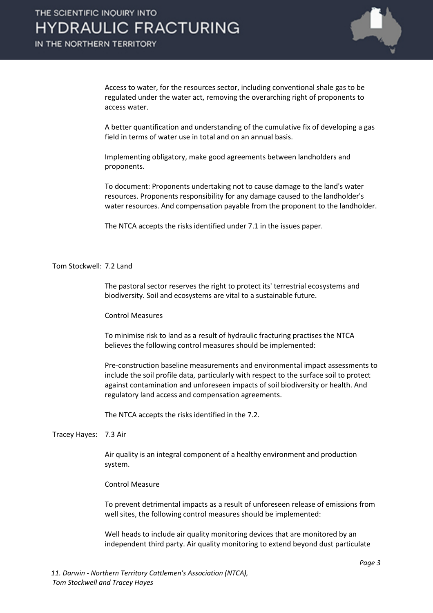

Access to water, for the resources sector, including conventional shale gas to be regulated under the water act, removing the overarching right of proponents to access water.

A better quantification and understanding of the cumulative fix of developing a gas field in terms of water use in total and on an annual basis.

Implementing obligatory, make good agreements between landholders and proponents.

To document: Proponents undertaking not to cause damage to the land's water resources. Proponents responsibility for any damage caused to the landholder's water resources. And compensation payable from the proponent to the landholder.

The NTCA accepts the risks identified under 7.1 in the issues paper.

#### Tom Stockwell: 7.2 Land

The pastoral sector reserves the right to protect its' terrestrial ecosystems and biodiversity. Soil and ecosystems are vital to a sustainable future.

#### Control Measures

To minimise risk to land as a result of hydraulic fracturing practises the NTCA believes the following control measures should be implemented:

Pre-construction baseline measurements and environmental impact assessments to include the soil profile data, particularly with respect to the surface soil to protect against contamination and unforeseen impacts of soil biodiversity or health. And regulatory land access and compensation agreements.

The NTCA accepts the risks identified in the 7.2.

Tracey Hayes: 7.3 Air

Air quality is an integral component of a healthy environment and production system.

#### Control Measure

To prevent detrimental impacts as a result of unforeseen release of emissions from well sites, the following control measures should be implemented:

Well heads to include air quality monitoring devices that are monitored by an independent third party. Air quality monitoring to extend beyond dust particulate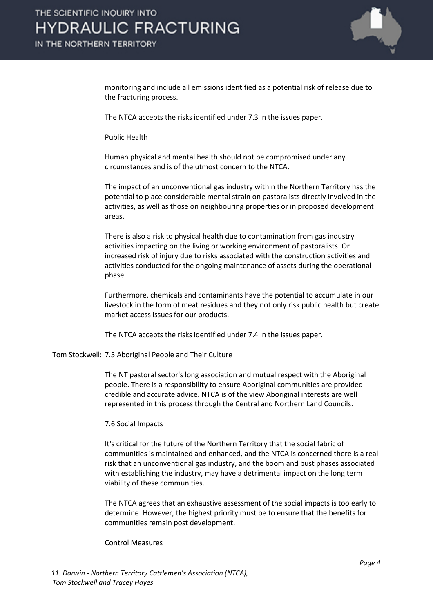

monitoring and include all emissions identified as a potential risk of release due to the fracturing process.

The NTCA accepts the risks identified under 7.3 in the issues paper.

Public Health

Human physical and mental health should not be compromised under any circumstances and is of the utmost concern to the NTCA.

The impact of an unconventional gas industry within the Northern Territory has the potential to place considerable mental strain on pastoralists directly involved in the activities, as well as those on neighbouring properties or in proposed development areas.

There is also a risk to physical health due to contamination from gas industry activities impacting on the living or working environment of pastoralists. Or increased risk of injury due to risks associated with the construction activities and activities conducted for the ongoing maintenance of assets during the operational phase.

Furthermore, chemicals and contaminants have the potential to accumulate in our livestock in the form of meat residues and they not only risk public health but create market access issues for our products.

The NTCA accepts the risks identified under 7.4 in the issues paper.

Tom Stockwell: 7.5 Aboriginal People and Their Culture

The NT pastoral sector's long association and mutual respect with the Aboriginal people. There is a responsibility to ensure Aboriginal communities are provided credible and accurate advice. NTCA is of the view Aboriginal interests are well represented in this process through the Central and Northern Land Councils.

#### 7.6 Social Impacts

It's critical for the future of the Northern Territory that the social fabric of communities is maintained and enhanced, and the NTCA is concerned there is a real risk that an unconventional gas industry, and the boom and bust phases associated with establishing the industry, may have a detrimental impact on the long term viability of these communities.

The NTCA agrees that an exhaustive assessment of the social impacts is too early to determine. However, the highest priority must be to ensure that the benefits for communities remain post development.

Control Measures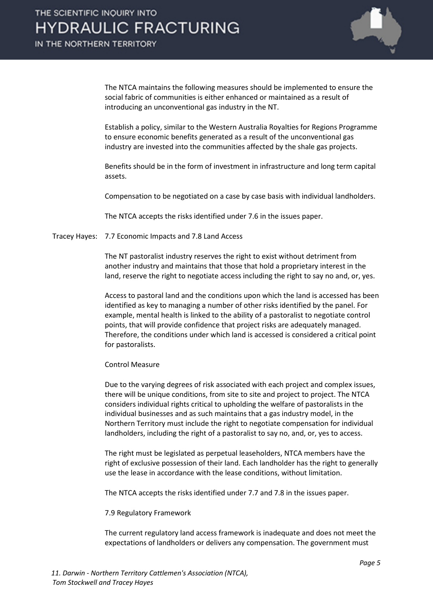

The NTCA maintains the following measures should be implemented to ensure the social fabric of communities is either enhanced or maintained as a result of introducing an unconventional gas industry in the NT.

Establish a policy, similar to the Western Australia Royalties for Regions Programme to ensure economic benefits generated as a result of the unconventional gas industry are invested into the communities affected by the shale gas projects.

Benefits should be in the form of investment in infrastructure and long term capital assets.

Compensation to be negotiated on a case by case basis with individual landholders.

The NTCA accepts the risks identified under 7.6 in the issues paper.

Tracey Hayes: 7.7 Economic Impacts and 7.8 Land Access

The NT pastoralist industry reserves the right to exist without detriment from another industry and maintains that those that hold a proprietary interest in the land, reserve the right to negotiate access including the right to say no and, or, yes.

Access to pastoral land and the conditions upon which the land is accessed has been identified as key to managing a number of other risks identified by the panel. For example, mental health is linked to the ability of a pastoralist to negotiate control points, that will provide confidence that project risks are adequately managed. Therefore, the conditions under which land is accessed is considered a critical point for pastoralists.

Control Measure

Due to the varying degrees of risk associated with each project and complex issues, there will be unique conditions, from site to site and project to project. The NTCA considers individual rights critical to upholding the welfare of pastoralists in the individual businesses and as such maintains that a gas industry model, in the Northern Territory must include the right to negotiate compensation for individual landholders, including the right of a pastoralist to say no, and, or, yes to access.

The right must be legislated as perpetual leaseholders, NTCA members have the right of exclusive possession of their land. Each landholder has the right to generally use the lease in accordance with the lease conditions, without limitation.

The NTCA accepts the risks identified under 7.7 and 7.8 in the issues paper.

7.9 Regulatory Framework

The current regulatory land access framework is inadequate and does not meet the expectations of landholders or delivers any compensation. The government must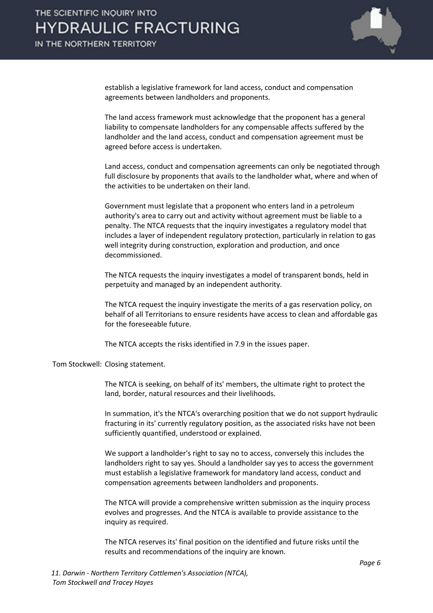### THE SCIENTIFIC INQUIRY INTO **HYDRAULIC FRACTURING** IN THE NORTHERN TERRITORY



establish a legislative framework for land access, conduct and compensation agreements between landholders and proponents.

The land access framework must acknowledge that the proponent has a general liability to compensate landholders for any compensable affects suffered by the landholder and the land access, conduct and compensation agreement must be agreed before access is undertaken.

Land access, conduct and compensation agreements can only be negotiated through full disclosure by proponents that avails to the landholder what, where and when of the activities to be undertaken on their land.

Government must legislate that a proponent who enters land in a petroleum authority's area to carry out and activity without agreement must be liable to a penalty. The NTCA requests that the inquiry investigates a regulatory model that includes a layer of independent regulatory protection, particularly in relation to gas well integrity during construction, exploration and production, and once decommissioned.

The NTCA requests the inquiry investigates a model of transparent bonds, held in perpetuity and managed by an independent authority.

The NTCA request the inquiry investigate the merits of a gas reservation policy, on behalf of all Territorians to ensure residents have access to clean and affordable gas for the foreseeable future.

The NTCA accepts the risks identified in 7.9 in the issues paper.

Tom Stockwell: Closing statement.

The NTCA is seeking, on behalf of its' members, the ultimate right to protect the land, border, natural resources and their livelihoods.

In summation, it's the NTCA's overarching position that we do not support hydraulic fracturing in its' currently regulatory position, as the associated risks have not been sufficiently quantified, understood or explained.

We support a landholder's right to say no to access, conversely this includes the landholders right to say yes. Should a landholder say yes to access the government must establish a legislative framework for mandatory land access, conduct and compensation agreements between landholders and proponents.

The NTCA will provide a comprehensive written submission as the inquiry process evolves and progresses. And the NTCA is available to provide assistance to the inquiry as required.

The NTCA reserves its' final position on the identified and future risks until the results and recommendations of the inquiry are known.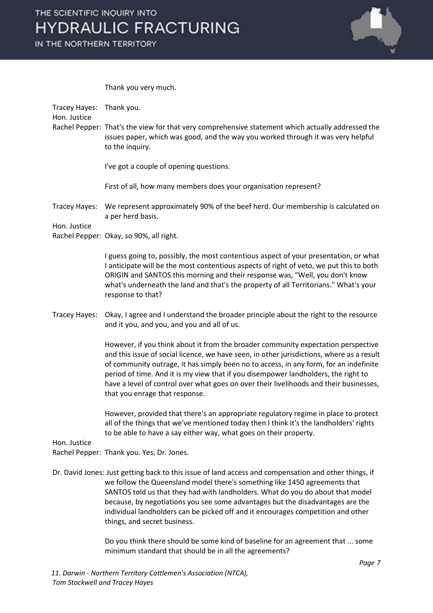Thank you very much.

Tracey Hayes: Thank you. Hon. Justice Rachel Pepper: That's the view for that very comprehensive statement which actually addressed the issues paper, which was good, and the way you worked through it was very helpful to the inquiry. I've got a couple of opening questions. First of all, how many members does your organisation represent? Tracey Hayes: We represent approximately 90% of the beef herd. Our membership is calculated on a per herd basis. Hon. Justice Rachel Pepper: Okay, so 90%, all right. I guess going to, possibly, the most contentious aspect of your presentation, or what I anticipate will be the most contentious aspects of right of veto, we put this to both ORIGIN and SANTOS this morning and their response was, "Well, you don't know what's underneath the land and that's the property of all Territorians." What's your response to that? Tracey Hayes: Okay, I agree and I understand the broader principle about the right to the resource and it you, and you, and you and all of us. However, if you think about it from the broader community expectation perspective and this issue of social licence, we have seen, in other jurisdictions, where as a result of community outrage, it has simply been no to access, in any form, for an indefinite period of time. And it is my view that if you disempower landholders, the right to have a level of control over what goes on over their livelihoods and their businesses, that you enrage that response. However, provided that there's an appropriate regulatory regime in place to protect all of the things that we've mentioned today then I think it's the landholders' rights to be able to have a say either way, what goes on their property. Hon. Justice Rachel Pepper: Thank you. Yes, Dr. Jones. Dr. David Jones: Just getting back to this issue of land access and compensation and other things, if we follow the Queensland model there's something like 1450 agreements that SANTOS told us that they had with landholders. What do you do about that model because, by negotiations you see some advantages but the disadvantages are the individual landholders can be picked off and it encourages competition and other things, and secret business.

> Do you think there should be some kind of baseline for an agreement that ... some minimum standard that should be in all the agreements?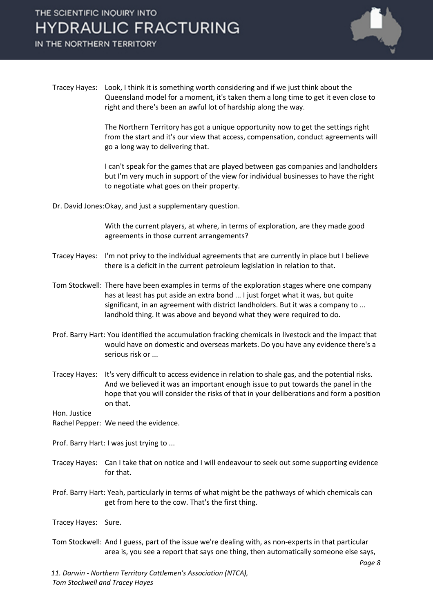# THE SCIENTIFIC INQUIRY INTO **HYDRAULIC FRACTURING**

IN THE NORTHERN TERRITORY



Tracey Hayes: Look, I think it is something worth considering and if we just think about the Queensland model for a moment, it's taken them a long time to get it even close to right and there's been an awful lot of hardship along the way.

> The Northern Territory has got a unique opportunity now to get the settings right from the start and it's our view that access, compensation, conduct agreements will go a long way to delivering that.

> I can't speak for the games that are played between gas companies and landholders but I'm very much in support of the view for individual businesses to have the right to negotiate what goes on their property.

Dr. David Jones:Okay, and just a supplementary question.

With the current players, at where, in terms of exploration, are they made good agreements in those current arrangements?

- Tracey Hayes: I'm not privy to the individual agreements that are currently in place but I believe there is a deficit in the current petroleum legislation in relation to that.
- Tom Stockwell: There have been examples in terms of the exploration stages where one company has at least has put aside an extra bond ... I just forget what it was, but quite significant, in an agreement with district landholders. But it was a company to ... landhold thing. It was above and beyond what they were required to do.
- Prof. Barry Hart: You identified the accumulation fracking chemicals in livestock and the impact that would have on domestic and overseas markets. Do you have any evidence there's a serious risk or ...
- Tracey Hayes: It's very difficult to access evidence in relation to shale gas, and the potential risks. And we believed it was an important enough issue to put towards the panel in the hope that you will consider the risks of that in your deliberations and form a position on that.

Hon. Justice

Rachel Pepper: We need the evidence.

- Prof. Barry Hart: I was just trying to ...
- Tracey Hayes: Can I take that on notice and I will endeavour to seek out some supporting evidence for that.
- Prof. Barry Hart: Yeah, particularly in terms of what might be the pathways of which chemicals can get from here to the cow. That's the first thing.

Tracey Hayes: Sure.

Tom Stockwell: And I guess, part of the issue we're dealing with, as non-experts in that particular area is, you see a report that says one thing, then automatically someone else says,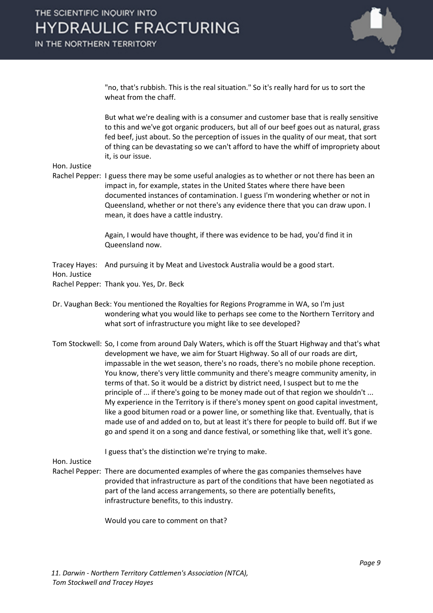

"no, that's rubbish. This is the real situation." So it's really hard for us to sort the wheat from the chaff.

But what we're dealing with is a consumer and customer base that is really sensitive to this and we've got organic producers, but all of our beef goes out as natural, grass fed beef, just about. So the perception of issues in the quality of our meat, that sort of thing can be devastating so we can't afford to have the whiff of impropriety about it, is our issue.

Hon. Justice

Rachel Pepper: I guess there may be some useful analogies as to whether or not there has been an impact in, for example, states in the United States where there have been documented instances of contamination. I guess I'm wondering whether or not in Queensland, whether or not there's any evidence there that you can draw upon. I mean, it does have a cattle industry.

> Again, I would have thought, if there was evidence to be had, you'd find it in Queensland now.

Tracey Hayes: And pursuing it by Meat and Livestock Australia would be a good start.

Hon. Justice

Rachel Pepper: Thank you. Yes, Dr. Beck

- Dr. Vaughan Beck: You mentioned the Royalties for Regions Programme in WA, so I'm just wondering what you would like to perhaps see come to the Northern Territory and what sort of infrastructure you might like to see developed?
- Tom Stockwell: So, I come from around Daly Waters, which is off the Stuart Highway and that's what development we have, we aim for Stuart Highway. So all of our roads are dirt, impassable in the wet season, there's no roads, there's no mobile phone reception. You know, there's very little community and there's meagre community amenity, in terms of that. So it would be a district by district need, I suspect but to me the principle of ... if there's going to be money made out of that region we shouldn't ... My experience in the Territory is if there's money spent on good capital investment, like a good bitumen road or a power line, or something like that. Eventually, that is made use of and added on to, but at least it's there for people to build off. But if we go and spend it on a song and dance festival, or something like that, well it's gone.

I guess that's the distinction we're trying to make.

Hon. Justice

Rachel Pepper: There are documented examples of where the gas companies themselves have provided that infrastructure as part of the conditions that have been negotiated as part of the land access arrangements, so there are potentially benefits, infrastructure benefits, to this industry.

Would you care to comment on that?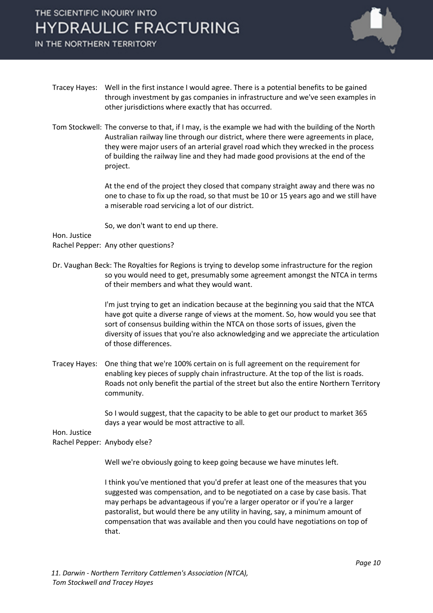## THE SCIENTIFIC INQUIRY INTO **HYDRAULIC FRACTURING**

IN THE NORTHERN TERRITORY



- Tracey Hayes: Well in the first instance I would agree. There is a potential benefits to be gained through investment by gas companies in infrastructure and we've seen examples in other jurisdictions where exactly that has occurred.
- Tom Stockwell: The converse to that, if I may, is the example we had with the building of the North Australian railway line through our district, where there were agreements in place, they were major users of an arterial gravel road which they wrecked in the process of building the railway line and they had made good provisions at the end of the project.

At the end of the project they closed that company straight away and there was no one to chase to fix up the road, so that must be 10 or 15 years ago and we still have a miserable road servicing a lot of our district.

So, we don't want to end up there.

Hon. Justice

Rachel Pepper: Any other questions?

Dr. Vaughan Beck: The Royalties for Regions is trying to develop some infrastructure for the region so you would need to get, presumably some agreement amongst the NTCA in terms of their members and what they would want.

> I'm just trying to get an indication because at the beginning you said that the NTCA have got quite a diverse range of views at the moment. So, how would you see that sort of consensus building within the NTCA on those sorts of issues, given the diversity of issues that you're also acknowledging and we appreciate the articulation of those differences.

Tracey Hayes: One thing that we're 100% certain on is full agreement on the requirement for enabling key pieces of supply chain infrastructure. At the top of the list is roads. Roads not only benefit the partial of the street but also the entire Northern Territory community.

> So I would suggest, that the capacity to be able to get our product to market 365 days a year would be most attractive to all.

Hon. Justice

Rachel Pepper: Anybody else?

Well we're obviously going to keep going because we have minutes left.

I think you've mentioned that you'd prefer at least one of the measures that you suggested was compensation, and to be negotiated on a case by case basis. That may perhaps be advantageous if you're a larger operator or if you're a larger pastoralist, but would there be any utility in having, say, a minimum amount of compensation that was available and then you could have negotiations on top of that.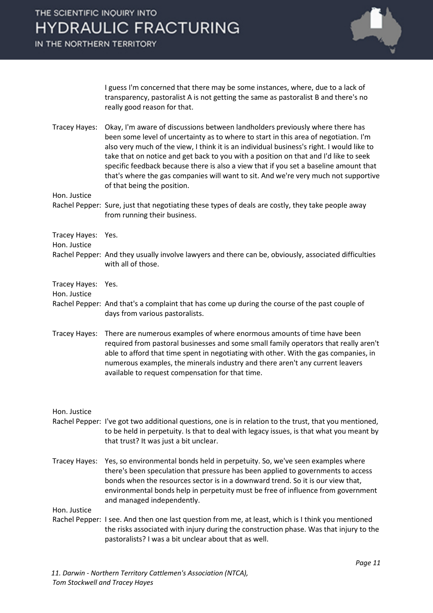I guess I'm concerned that there may be some instances, where, due to a lack of transparency, pastoralist A is not getting the same as pastoralist B and there's no really good reason for that.

Tracey Hayes: Okay, I'm aware of discussions between landholders previously where there has been some level of uncertainty as to where to start in this area of negotiation. I'm also very much of the view, I think it is an individual business's right. I would like to take that on notice and get back to you with a position on that and I'd like to seek specific feedback because there is also a view that if you set a baseline amount that that's where the gas companies will want to sit. And we're very much not supportive of that being the position.

Hon. Justice

Rachel Pepper: Sure, just that negotiating these types of deals are costly, they take people away from running their business.

Tracey Hayes: Yes.

Hon. Justice

Rachel Pepper: And they usually involve lawyers and there can be, obviously, associated difficulties with all of those.

Tracey Hayes: Yes.

Hon. Justice

- Rachel Pepper: And that's a complaint that has come up during the course of the past couple of days from various pastoralists.
- Tracey Hayes: There are numerous examples of where enormous amounts of time have been required from pastoral businesses and some small family operators that really aren't able to afford that time spent in negotiating with other. With the gas companies, in numerous examples, the minerals industry and there aren't any current leavers available to request compensation for that time.

Hon. Justice

- Rachel Pepper: I've got two additional questions, one is in relation to the trust, that you mentioned, to be held in perpetuity. Is that to deal with legacy issues, is that what you meant by that trust? It was just a bit unclear.
- Tracey Hayes: Yes, so environmental bonds held in perpetuity. So, we've seen examples where there's been speculation that pressure has been applied to governments to access bonds when the resources sector is in a downward trend. So it is our view that, environmental bonds help in perpetuity must be free of influence from government and managed independently.

Hon. Justice

Rachel Pepper: I see. And then one last question from me, at least, which is I think you mentioned the risks associated with injury during the construction phase. Was that injury to the pastoralists? I was a bit unclear about that as well.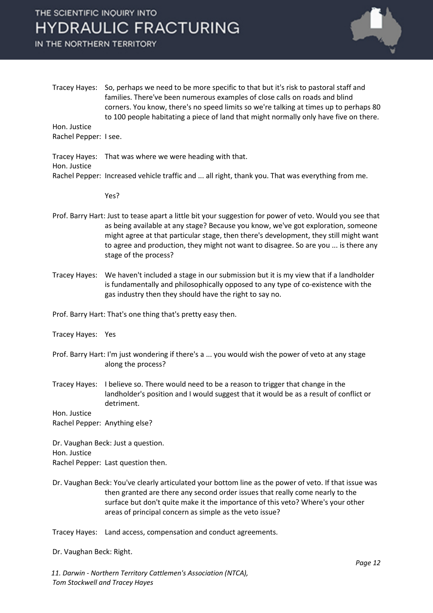# THE SCIENTIFIC INQUIRY INTO **HYDRAULIC FRACTURING**

IN THE NORTHERN TERRITORY



Tracey Hayes: So, perhaps we need to be more specific to that but it's risk to pastoral staff and families. There've been numerous examples of close calls on roads and blind corners. You know, there's no speed limits so we're talking at times up to perhaps 80 to 100 people habitating a piece of land that might normally only have five on there. Hon. Justice

Rachel Pepper: I see.

Tracey Hayes: That was where we were heading with that. Hon. Justice Rachel Pepper: Increased vehicle traffic and ... all right, thank you. That was everything from me.

### Yes?

- Prof. Barry Hart: Just to tease apart a little bit your suggestion for power of veto. Would you see that as being available at any stage? Because you know, we've got exploration, someone might agree at that particular stage, then there's development, they still might want to agree and production, they might not want to disagree. So are you ... is there any stage of the process?
- Tracey Hayes: We haven't included a stage in our submission but it is my view that if a landholder is fundamentally and philosophically opposed to any type of co-existence with the gas industry then they should have the right to say no.

Prof. Barry Hart: That's one thing that's pretty easy then.

- Tracey Hayes: Yes
- Prof. Barry Hart: I'm just wondering if there's a ... you would wish the power of veto at any stage along the process?
- Tracey Hayes: I believe so. There would need to be a reason to trigger that change in the landholder's position and I would suggest that it would be as a result of conflict or detriment.

Hon. Justice Rachel Pepper: Anything else?

Dr. Vaughan Beck: Just a question. Hon. Justice Rachel Pepper: Last question then.

- Dr. Vaughan Beck: You've clearly articulated your bottom line as the power of veto. If that issue was then granted are there any second order issues that really come nearly to the surface but don't quite make it the importance of this veto? Where's your other areas of principal concern as simple as the veto issue?
- Tracey Hayes: Land access, compensation and conduct agreements.

Dr. Vaughan Beck: Right.